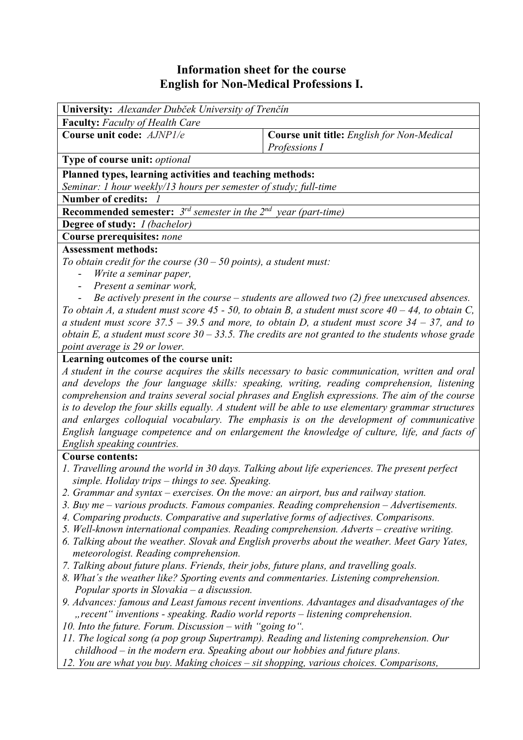## **Information sheet for the course English for Non-Medical Professions I.**

| <b>Faculty:</b> Faculty of Health Care<br>Course unit code: AJNP1/e<br><b>Course unit title:</b> English for Non-Medical<br>Professions I<br>Type of course unit: optional<br>Planned types, learning activities and teaching methods:<br>Seminar: 1 hour weekly/13 hours per semester of study; full-time |  |  |  |  |  |  |  |
|------------------------------------------------------------------------------------------------------------------------------------------------------------------------------------------------------------------------------------------------------------------------------------------------------------|--|--|--|--|--|--|--|
|                                                                                                                                                                                                                                                                                                            |  |  |  |  |  |  |  |
|                                                                                                                                                                                                                                                                                                            |  |  |  |  |  |  |  |
|                                                                                                                                                                                                                                                                                                            |  |  |  |  |  |  |  |
|                                                                                                                                                                                                                                                                                                            |  |  |  |  |  |  |  |
|                                                                                                                                                                                                                                                                                                            |  |  |  |  |  |  |  |
| <b>Number of credits:</b>                                                                                                                                                                                                                                                                                  |  |  |  |  |  |  |  |
| <b>Recommended semester:</b> $3^{rd}$ semester in the $2^{nd}$ year (part-time)                                                                                                                                                                                                                            |  |  |  |  |  |  |  |
| Degree of study: <i>I (bachelor)</i>                                                                                                                                                                                                                                                                       |  |  |  |  |  |  |  |
| Course prerequisites: none                                                                                                                                                                                                                                                                                 |  |  |  |  |  |  |  |
| <b>Assessment methods:</b>                                                                                                                                                                                                                                                                                 |  |  |  |  |  |  |  |
| To obtain credit for the course $(30 - 50$ points), a student must:                                                                                                                                                                                                                                        |  |  |  |  |  |  |  |
| Write a seminar paper,                                                                                                                                                                                                                                                                                     |  |  |  |  |  |  |  |
| Present a seminar work,                                                                                                                                                                                                                                                                                    |  |  |  |  |  |  |  |
| Be actively present in the course $-$ students are allowed two (2) free unexcused absences.                                                                                                                                                                                                                |  |  |  |  |  |  |  |
| To obtain A, a student must score $45 - 50$ , to obtain B, a student must score $40 - 44$ , to obtain C,                                                                                                                                                                                                   |  |  |  |  |  |  |  |
| a student must score $37.5 - 39.5$ and more, to obtain D, a student must score $34 - 37$ , and to                                                                                                                                                                                                          |  |  |  |  |  |  |  |
| obtain E, a student must score $30 - 33.5$ . The credits are not granted to the students whose grade                                                                                                                                                                                                       |  |  |  |  |  |  |  |
| point average is 29 or lower.                                                                                                                                                                                                                                                                              |  |  |  |  |  |  |  |
| Learning outcomes of the course unit:                                                                                                                                                                                                                                                                      |  |  |  |  |  |  |  |
| A student in the course acquires the skills necessary to basic communication, written and oral<br>and develops the four language skills: speaking, writing, reading comprehension, listening                                                                                                               |  |  |  |  |  |  |  |
| comprehension and trains several social phrases and English expressions. The aim of the course                                                                                                                                                                                                             |  |  |  |  |  |  |  |
| is to develop the four skills equally. A student will be able to use elementary grammar structures                                                                                                                                                                                                         |  |  |  |  |  |  |  |
| and enlarges colloquial vocabulary. The emphasis is on the development of communicative                                                                                                                                                                                                                    |  |  |  |  |  |  |  |
| English language competence and on enlargement the knowledge of culture, life, and facts of                                                                                                                                                                                                                |  |  |  |  |  |  |  |
| English speaking countries.                                                                                                                                                                                                                                                                                |  |  |  |  |  |  |  |
| <b>Course contents:</b>                                                                                                                                                                                                                                                                                    |  |  |  |  |  |  |  |
| 1. Travelling around the world in 30 days. Talking about life experiences. The present perfect                                                                                                                                                                                                             |  |  |  |  |  |  |  |
| simple. Holiday trips - things to see. Speaking.                                                                                                                                                                                                                                                           |  |  |  |  |  |  |  |
| 2. Grammar and syntax – exercises. On the move: an airport, bus and railway station.                                                                                                                                                                                                                       |  |  |  |  |  |  |  |
| 3. Buy me – various products. Famous companies. Reading comprehension – Advertisements.                                                                                                                                                                                                                    |  |  |  |  |  |  |  |
| 4. Comparing products. Comparative and superlative forms of adjectives. Comparisons.                                                                                                                                                                                                                       |  |  |  |  |  |  |  |
| 5. Well-known international companies. Reading comprehension. Adverts – creative writing.                                                                                                                                                                                                                  |  |  |  |  |  |  |  |
| 6. Talking about the weather. Slovak and English proverbs about the weather. Meet Gary Yates,                                                                                                                                                                                                              |  |  |  |  |  |  |  |
| meteorologist. Reading comprehension.                                                                                                                                                                                                                                                                      |  |  |  |  |  |  |  |
| 7. Talking about future plans. Friends, their jobs, future plans, and travelling goals.                                                                                                                                                                                                                    |  |  |  |  |  |  |  |
| 8. What's the weather like? Sporting events and commentaries. Listening comprehension.                                                                                                                                                                                                                     |  |  |  |  |  |  |  |
| Popular sports in Slovakia $-a$ discussion.                                                                                                                                                                                                                                                                |  |  |  |  |  |  |  |
| 9. Advances: famous and Least famous recent inventions. Advantages and disadvantages of the                                                                                                                                                                                                                |  |  |  |  |  |  |  |
| "recent" inventions - speaking. Radio world reports – listening comprehension.                                                                                                                                                                                                                             |  |  |  |  |  |  |  |
| 10. Into the future. Forum. Discussion $-$ with "going to".                                                                                                                                                                                                                                                |  |  |  |  |  |  |  |
| 11. The logical song (a pop group Supertramp). Reading and listening comprehension. Our                                                                                                                                                                                                                    |  |  |  |  |  |  |  |
| $childhood$ – in the modern era. Speaking about our hobbies and future plans.                                                                                                                                                                                                                              |  |  |  |  |  |  |  |
| 12. You are what you buy. Making choices – sit shopping, various choices. Comparisons,                                                                                                                                                                                                                     |  |  |  |  |  |  |  |